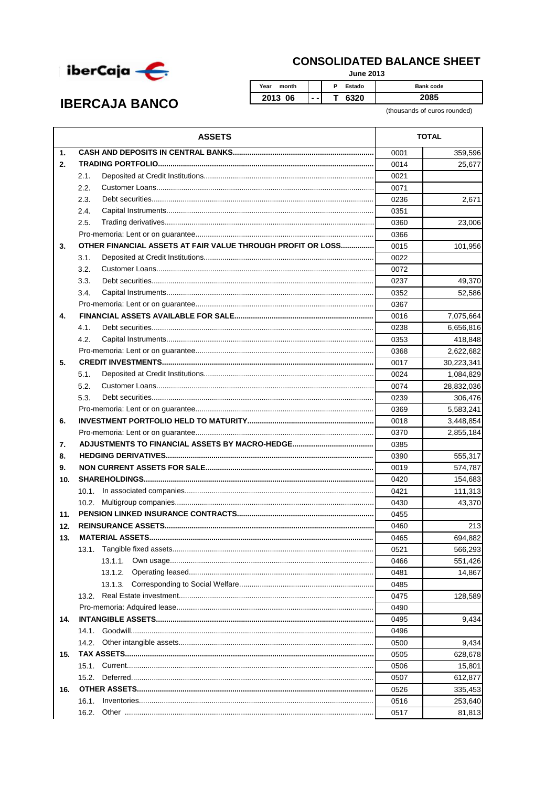

## **CONSOLIDATED BALANCE SHEET**

**June 2013** 

**IBERCAJA BANCO** 

Year month  $\overline{P}$ Estado Bank code 2013 06  $\overline{\mathsf{r}}$ 6320 2085  $\ddotsc$ 

(thousands of euros rounded)

|                | <b>ASSETS</b>                                               |      | <b>TOTAL</b> |  |
|----------------|-------------------------------------------------------------|------|--------------|--|
| $\mathbf{1}$ . |                                                             | 0001 | 359,596      |  |
| 2.             |                                                             | 0014 | 25,677       |  |
|                | 2.1.                                                        | 0021 |              |  |
|                | 2.2.                                                        | 0071 |              |  |
|                | 2.3.                                                        | 0236 | 2,671        |  |
|                | 2.4.                                                        | 0351 |              |  |
|                | 2.5.                                                        | 0360 | 23,006       |  |
|                |                                                             | 0366 |              |  |
| 3.             | OTHER FINANCIAL ASSETS AT FAIR VALUE THROUGH PROFIT OR LOSS | 0015 | 101,956      |  |
|                | 3.1.                                                        | 0022 |              |  |
|                | 3.2.                                                        | 0072 |              |  |
|                | 3.3.                                                        | 0237 | 49,370       |  |
|                | 3.4.                                                        | 0352 | 52,586       |  |
|                |                                                             | 0367 |              |  |
| 4.             |                                                             | 0016 | 7,075,664    |  |
|                | 4.1.                                                        | 0238 | 6,656,816    |  |
|                | 4.2.                                                        | 0353 | 418,848      |  |
|                |                                                             | 0368 | 2,622,682    |  |
| 5.             |                                                             | 0017 | 30,223,341   |  |
|                | 5.1.                                                        | 0024 | 1,084,829    |  |
|                | 5.2.                                                        | 0074 | 28,832,036   |  |
|                | 5.3.                                                        | 0239 | 306,476      |  |
|                |                                                             | 0369 | 5,583,241    |  |
| 6.             |                                                             | 0018 | 3,448,854    |  |
|                |                                                             |      | 2,855,184    |  |
| 7.             |                                                             | 0385 |              |  |
| 8.             |                                                             | 0390 | 555,317      |  |
| 9.             |                                                             | 0019 | 574,787      |  |
| 10.            |                                                             | 0420 | 154,683      |  |
|                |                                                             | 0421 | 111,313      |  |
|                |                                                             | 0430 | 43.370       |  |
| 11.            |                                                             | 0455 |              |  |
| 12.            |                                                             | 0460 | 213          |  |
| 13.            |                                                             |      | 694,882      |  |
|                | 13.1.                                                       | 0521 | 566,293      |  |
|                | 13.1.1.                                                     | 0466 | 551,426      |  |
|                | 13.1.2.                                                     | 0481 | 14,867       |  |
|                | 13.1.3.                                                     | 0485 |              |  |
|                | 13.2.                                                       | 0475 | 128,589      |  |
|                |                                                             |      |              |  |
| 14.            |                                                             | 0495 | 9,434        |  |
|                |                                                             | 0496 |              |  |
|                |                                                             | 0500 | 9,434        |  |
| 15.            |                                                             | 0505 | 628,678      |  |
|                |                                                             | 0506 | 15,801       |  |
|                |                                                             | 0507 | 612,877      |  |
| 16.            |                                                             | 0526 | 335,453      |  |
|                | 16.1.                                                       | 0516 | 253,640      |  |
|                | 16.2.                                                       | 0517 | 81,813       |  |
|                |                                                             |      |              |  |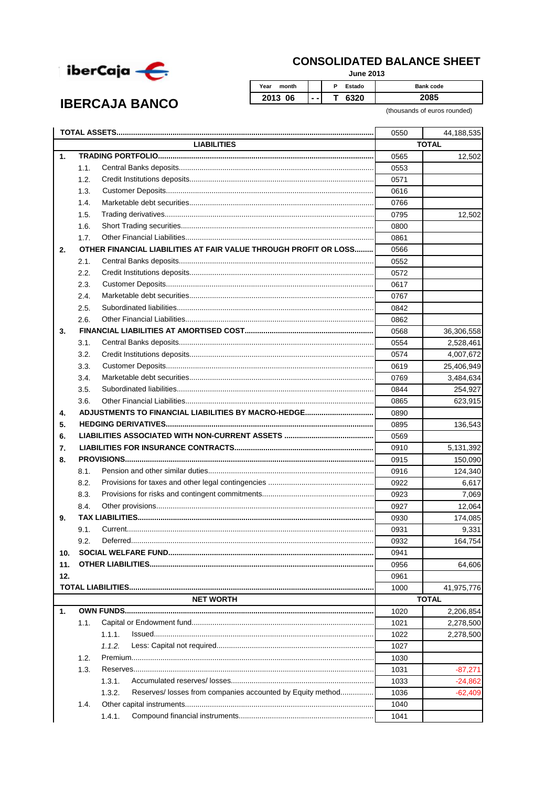

**IBERCAJA BANCO** 

## **CONSOLIDATED BALANCE SHEET**

**June 2013** 

Year month  $\overline{P}$ Estado Bank code 2013 06  $\overline{\mathsf{r}}$ 6320 2085  $\ddotsc$ 

(thousands of euros rounded)

|     |                                                                      | 0550 | 44,188,535   |  |
|-----|----------------------------------------------------------------------|------|--------------|--|
|     | <b>LIABILITIES</b>                                                   |      | <b>TOTAL</b> |  |
| 1.  |                                                                      | 0565 | 12,502       |  |
|     | 1.1.                                                                 | 0553 |              |  |
|     | 1.2.                                                                 | 0571 |              |  |
|     | 1.3.                                                                 | 0616 |              |  |
|     | 1.4.                                                                 | 0766 |              |  |
|     | 1.5.                                                                 | 0795 | 12,502       |  |
|     | 1.6.                                                                 | 0800 |              |  |
|     | 1.7.                                                                 | 0861 |              |  |
| 2.  | OTHER FINANCIAL LIABILITIES AT FAIR VALUE THROUGH PROFIT OR LOSS     | 0566 |              |  |
|     | 2.1.                                                                 | 0552 |              |  |
|     | 2.2.                                                                 | 0572 |              |  |
|     | 2.3.                                                                 | 0617 |              |  |
|     | 2.4.                                                                 | 0767 |              |  |
|     | 2.5.                                                                 | 0842 |              |  |
|     | 2.6.                                                                 | 0862 |              |  |
| 3.  |                                                                      | 0568 | 36,306,558   |  |
|     | 3.1.                                                                 | 0554 | 2,528,461    |  |
|     | 3.2.                                                                 | 0574 | 4,007,672    |  |
|     | 3.3.                                                                 | 0619 | 25,406,949   |  |
|     | 3.4.                                                                 | 0769 | 3,484,634    |  |
|     | 3.5.                                                                 | 0844 | 254,927      |  |
|     | 3.6.                                                                 | 0865 | 623,915      |  |
| 4.  |                                                                      | 0890 |              |  |
| 5.  |                                                                      | 0895 | 136,543      |  |
| 6.  |                                                                      | 0569 |              |  |
| 7.  |                                                                      | 0910 | 5,131,392    |  |
| 8.  |                                                                      | 0915 | 150,090      |  |
|     | 8.1.                                                                 | 0916 | 124,340      |  |
|     | 8.2.                                                                 | 0922 | 6,617        |  |
|     | 8.3.                                                                 | 0923 | 7,069        |  |
|     | 8.4.                                                                 | 0927 | 12,064       |  |
| 9.  |                                                                      | 0930 | 174,085      |  |
|     | 9.1.                                                                 | 0931 | 9,331        |  |
|     | 9.2.                                                                 | 0932 | 164,754      |  |
| 10. |                                                                      | 0941 |              |  |
| 11. |                                                                      | 0956 | 64,606       |  |
| 12. |                                                                      | 0961 |              |  |
|     |                                                                      | 1000 | 41,975,776   |  |
|     | <b>NET WORTH</b>                                                     |      | <b>TOTAL</b> |  |
| 1.  |                                                                      | 1020 | 2,206,854    |  |
|     | 1.1.                                                                 | 1021 | 2,278,500    |  |
|     | 1.1.1.                                                               | 1022 | 2,278,500    |  |
|     | 1.1.2.                                                               | 1027 |              |  |
|     | 1.2.                                                                 | 1030 |              |  |
|     | 1.3.                                                                 |      |              |  |
|     |                                                                      | 1031 | $-87,271$    |  |
|     | 1.3.1.<br>Reserves/ losses from companies accounted by Equity method | 1033 | $-24,862$    |  |
|     | 1.3.2.                                                               | 1036 | -62,409      |  |
|     | 1.4.                                                                 | 1040 |              |  |
|     | 1.4.1.                                                               | 1041 |              |  |